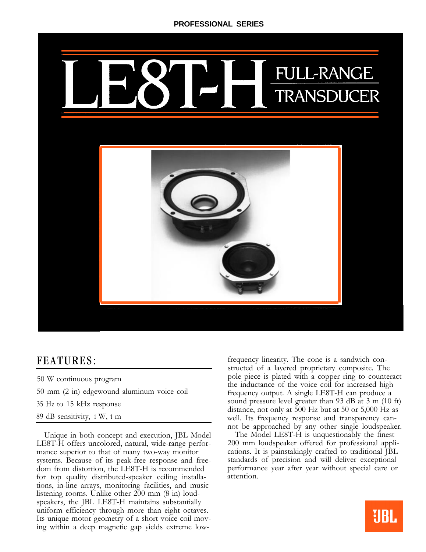

## FEATURES:

- 50 W continuous program
- 50 mm (2 in) edgewound aluminum voice coil
- 35 Hz to 15 kHz response
- 89 dB sensitivity, 1 W, 1 m

Unique in both concept and execution, JBL Model LE8T-H offers uncolored, natural, wide-range performance superior to that of many two-way monitor systems. Because of its peak-free response and freedom from distortion, the LE8T-H is recommended for top quality distributed-speaker ceiling installations, in-line arrays, monitoring facilities, and music listening rooms. Unlike other 200 mm (8 in) loudspeakers, the JBL LE8T-H maintains substantially uniform efficiency through more than eight octaves. Its unique motor geometry of a short voice coil moving within a deep magnetic gap yields extreme low-

frequency linearity. The cone is a sandwich constructed of a layered proprietary composite. The pole piece is plated with a copper ring to counteract the inductance of the voice coil for increased high frequency output. A single LE8T-H can produce a sound pressure level greater than 93 dB at 3 m (10 ft) distance, not only at 500 Hz but at 50 or 5,000 Hz as well. Its frequency response and transparency cannot be approached by any other single loudspeaker.

The Model LE8T-H is unquestionably the finest 200 mm loudspeaker offered for professional applications. It is painstakingly crafted to traditional JBL standards of precision and will deliver exceptional performance year after year without special care or attention.